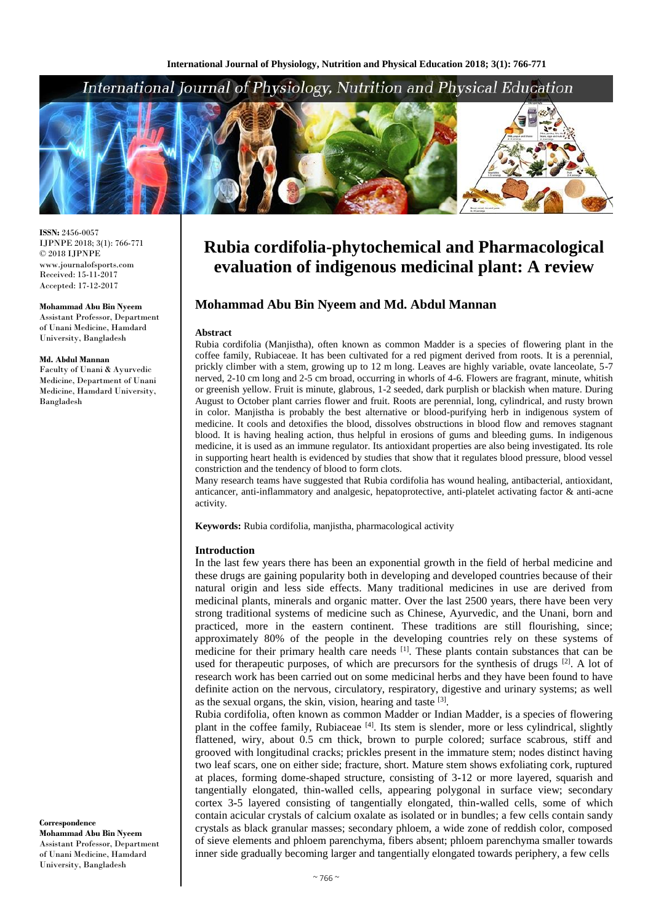

**ISSN:** 2456-0057 IJPNPE 2018; 3(1): 766-771  $\odot$  2018 IJPNPE www.journalofsports.com Received: 15-11-2017 Accepted: 17-12-2017

**Mohammad Abu Bin Nyeem** Assistant Professor, Department of Unani Medicine, Hamdard University, Bangladesh

#### **Md. Abdul Mannan**

Faculty of Unani & Ayurvedic Medicine, Department of Unani Medicine, Hamdard University, Bangladesh

**Correspondence Mohammad Abu Bin Nyeem** Assistant Professor, Department of Unani Medicine, Hamdard University, Bangladesh

# **Rubia cordifolia-phytochemical and Pharmacological evaluation of indigenous medicinal plant: A review**

# **Mohammad Abu Bin Nyeem and Md. Abdul Mannan**

#### **Abstract**

Rubia cordifolia (Manjistha), often known as common Madder is a species of flowering plant in the coffee family, Rubiaceae. It has been cultivated for a red pigment derived from roots. It is a perennial, prickly climber with a stem, growing up to 12 m long. Leaves are highly variable, ovate lanceolate, 5-7 nerved, 2-10 cm long and 2-5 cm broad, occurring in whorls of 4-6. Flowers are fragrant, minute, whitish or greenish yellow. Fruit is minute, glabrous, 1-2 seeded, dark purplish or blackish when mature. During August to October plant carries flower and fruit. Roots are perennial, long, cylindrical, and rusty brown in color. Manjistha is probably the best alternative or blood-purifying herb in indigenous system of medicine. It cools and detoxifies the blood, dissolves obstructions in blood flow and removes stagnant blood. It is having healing action, thus helpful in erosions of gums and bleeding gums. In indigenous medicine, it is used as an immune regulator. Its antioxidant properties are also being investigated. Its role in supporting heart health is evidenced by studies that show that it regulates blood pressure, blood vessel constriction and the tendency of blood to form clots.

Many research teams have suggested that Rubia cordifolia has wound healing, antibacterial, antioxidant, anticancer, anti-inflammatory and analgesic, hepatoprotective, anti-platelet activating factor & anti-acne activity.

**Keywords:** Rubia cordifolia, manjistha, pharmacological activity

#### **Introduction**

In the last few years there has been an exponential growth in the field of herbal medicine and these drugs are gaining popularity both in developing and developed countries because of their natural origin and less side effects. Many traditional medicines in use are derived from medicinal plants, minerals and organic matter. Over the last 2500 years, there have been very strong traditional systems of medicine such as Chinese, Ayurvedic, and the Unani, born and practiced, more in the eastern continent. These traditions are still flourishing, since; approximately 80% of the people in the developing countries rely on these systems of medicine for their primary health care needs <sup>[1]</sup>. These plants contain substances that can be used for therapeutic purposes, of which are precursors for the synthesis of drugs <sup>[2]</sup>. A lot of research work has been carried out on some medicinal herbs and they have been found to have definite action on the nervous, circulatory, respiratory, digestive and urinary systems; as well as the sexual organs, the skin, vision, hearing and taste [3].

Rubia cordifolia, often known as common Madder or Indian Madder, is a species of flowering plant in the coffee family, Rubiaceae<sup>[4]</sup>. Its stem is slender, more or less cylindrical, slightly flattened, wiry, about 0.5 cm thick, brown to purple colored; surface scabrous, stiff and grooved with longitudinal cracks; prickles present in the immature stem; nodes distinct having two leaf scars, one on either side; fracture, short. Mature stem shows exfoliating cork, ruptured at places, forming dome-shaped structure, consisting of 3**-**12 or more layered, squarish and tangentially elongated, thin-walled cells, appearing polygonal in surface view; secondary cortex 3**-**5 layered consisting of tangentially elongated, thin**-**walled cells, some of which contain acicular crystals of calcium oxalate as isolated or in bundles; a few cells contain sandy crystals as black granular masses; secondary phloem, a wide zone of reddish color, composed of sieve elements and phloem parenchyma, fibers absent; phloem parenchyma smaller towards inner side gradually becoming larger and tangentially elongated towards periphery, a few cells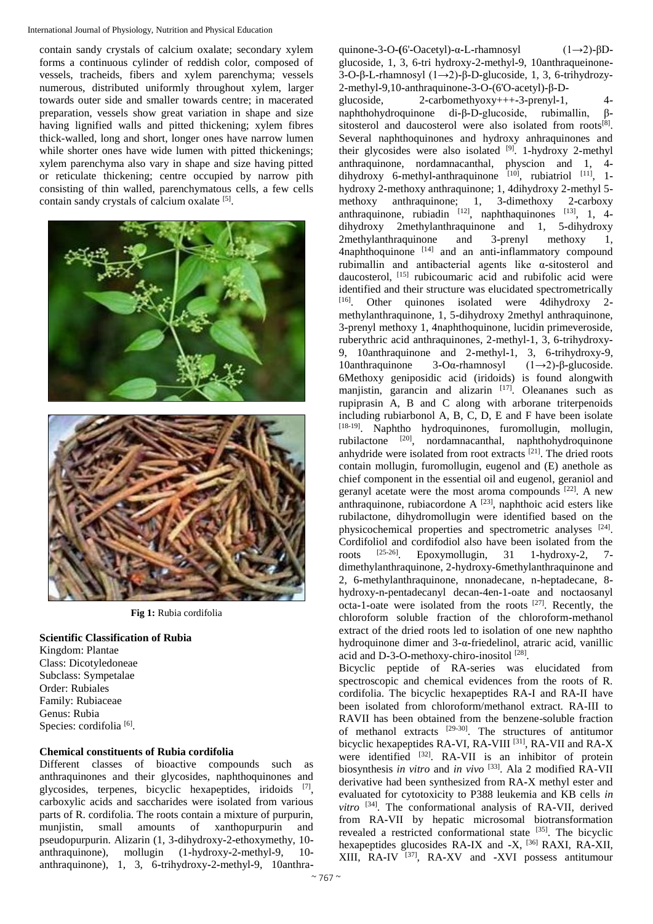contain sandy crystals of calcium oxalate; secondary xylem forms a continuous cylinder of reddish color, composed of vessels, tracheids, fibers and xylem parenchyma; vessels numerous, distributed uniformly throughout xylem, larger towards outer side and smaller towards centre; in macerated preparation, vessels show great variation in shape and size having lignified walls and pitted thickening; xylem fibres thick-walled, long and short, longer ones have narrow lumen while shorter ones have wide lumen with pitted thickenings; xylem parenchyma also vary in shape and size having pitted or reticulate thickening; centre occupied by narrow pith consisting of thin walled, parenchymatous cells, a few cells contain sandy crystals of calcium oxalate [5].





**Fig 1:** Rubia cordifolia

# **Scientific Classification of Rubia**

Kingdom: Plantae Class: Dicotyledoneae Subclass: Sympetalae Order: Rubiales Family: Rubiaceae Genus: Rubia Species: cordifolia<sup>[6]</sup>.

# **Chemical constituents of Rubia cordifolia**

Different classes of bioactive compounds such as anthraquinones and their glycosides, naphthoquinones and glycosides, terpenes, bicyclic hexapeptides, iridoids [7], carboxylic acids and saccharides were isolated from various parts of R. cordifolia. The roots contain a mixture of purpurin, munjistin, small amounts of xanthopurpurin and pseudopurpurin. Alizarin (1, 3**-**dihydroxy**-**2**-**ethoxymethy, 10 anthraquinone), mollugin (1**-**hydroxy**-**2**-**methyl**-**9, 10 anthraquinone), 1, 3, 6**-**trihydroxy**-**2**-**methyl**-**9, 10anthra**-** quinone**-**3**-**O**-(**6'**-**Oacetyl)**-**α**-**L**-**rhamnosyl (1→2)**-**βDglucoside, 1, 3, 6-tri hydroxy**-**2**-**methyl**-**9, 10anthraqueinone**-**3**-**O**-**β**-**L**-**rhamnosyl (1→2)**-**β**-**D**-**glucoside, 1, 3, 6**-**trihydrozy**-**2**-**methyl**-**9,10**-**anthraquinone**-**3**-**O**-**(6'O-acetyl)**-**β**-**D**-**

glucoside, 2**-**carbomethyoxy+++**-**3**-**prenyl**-**1, 4 naphthohydroquinone di**-**β**-**D**-**glucoside, rubimallin, βsitosterol and daucosterol were also isolated from roots<sup>[8]</sup>. Several naphthoquinones and hydroxy anhraquinones and their glycosides were also isolated [9]. 1**-**hydroxy 2**-**methyl anthraquinone, nordamnacanthal, physcion and 1, 4 dihydroxy 6**-**methyl**-**anthraquinone [10], rubiatriol [11], 1 hydroxy 2**-**methoxy anthraquinone; 1, 4dihydroxy 2**-**methyl 5 methoxy anthraquinone; 1, 3**-**dimethoxy 2**-**carboxy anthraquinone, rubiadin [12], naphthaquinones [13], 1, 4 dihydroxy 2methylanthraquinone and 1, 5**-**dihydroxy 2methylanthraquinone and 3**-**prenyl methoxy 1, 4naphthoquinone [14] and an anti**-**inflammatory compound rubimallin and antibacterial agents like α**-**sitosterol and daucosterol, [15] rubicoumaric acid and rubifolic acid were identified and their structure was elucidated spectrometrically [16]. Other quinones isolated were 4dihydroxy 2 methylanthraquinone, 1, 5**-**dihydroxy 2methyl anthraquinone, 3**-**prenyl methoxy 1, 4naphthoquinone, lucidin primeveroside, ruberythric acid anthraquinones, 2-methyl-1, 3, 6**-**trihydroxy**-**9, 10anthraquinone and 2**-**methyl**-**1, 3, 6**-**trihydroxy**-**9, 10anthraquinone 3**-**Oα**-**rhamnosyl (1→2)**-**β**-**glucoside. 6Methoxy geniposidic acid (iridoids) is found alongwith manjistin, garancin and alizarin [17]. Oleananes such as rupiprasin A, B and C along with arborane triterpenoids including rubiarbonol A, B, C, D, E and F have been isolate [18-19]. Naphtho hydroquinones, furomollugin, mollugin, rubilactone [20], nordamnacanthal, naphthohydroquinone anhydride were isolated from root extracts  $[21]$ . The dried roots contain mollugin, furomollugin, eugenol and (E) anethole as chief component in the essential oil and eugenol, geraniol and geranyl acetate were the most aroma compounds [22]. A new anthraquinone, rubiacordone  $A^{[23]}$ , naphthoic acid esters like rubilactone, dihydromollugin were identified based on the physicochemical properties and spectrometric analyses [24]. Cordifoliol and cordifodiol also have been isolated from the roots  $^{[25-26]}$ . Epoxymollugin. 31 1-hydroxy-2. 7-Epoxymollugin, 31 1-hydroxy-2, 7dimethylanthraquinone, 2**-**hydroxy**-**6methylanthraquinone and 2, 6**-**methylanthraquinone, nnonadecane, n**-**heptadecane, 8 hydroxy**-**n**-**pentadecanyl decan**-**4en**-**1**-**oate and noctaosanyl octa**-**1**-**oate were isolated from the roots [27]. Recently, the chloroform soluble fraction of the chloroform**-**methanol extract of the dried roots led to isolation of one new naphtho hydroquinone dimer and 3**-**α**-**friedelinol, atraric acid, vanillic acid and D**-**3**-**O**-**methoxy**-**chiro**-**inositol [28] .

Bicyclic peptide of RA-series was elucidated from spectroscopic and chemical evidences from the roots of R. cordifolia. The bicyclic hexapeptides RA**-**I and RA**-**II have been isolated from chloroform/methanol extract. RA-III to RAVII has been obtained from the benzene-soluble fraction of methanol extracts  $[29-30]$ . The structures of antitumor bicyclic hexapeptides RA**-**VI, RA**-**VIII [31], RA**-**VII and RA**-**X were identified <sup>[32]</sup>. RA-VII is an inhibitor of protein biosynthesis *in vitro* and *in vivo* [33]. Ala 2 modified RA-VII derivative had been synthesized from RA**-**X methyl ester and evaluated for cytotoxicity to P388 leukemia and KB cells *in vitro* [34]. The conformational analysis of RA**-**VII, derived from RA**-**VII by hepatic microsomal biotransformation revealed a restricted conformational state [35]. The bicyclic hexapeptides glucosides RA**-**IX and **-**X, [36] RAXI, RA**-**XII, XIII, RA**-**IV [37], RA**-**XV and **-**XVI possess antitumour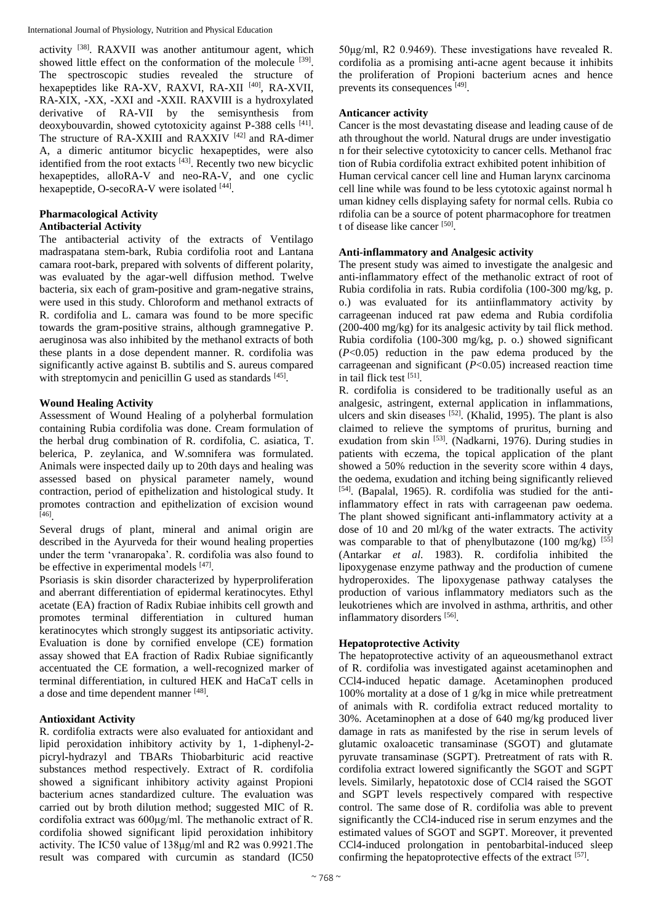activity [38]. RAXVII was another antitumour agent, which showed little effect on the conformation of the molecule <sup>[39]</sup>. The spectroscopic studies revealed the structure of hexapeptides like RA**-**XV, RAXVI, RA**-**XII [40], RA**-**XVII, RA**-**XIX, **-**XX, **-**XXI and **-**XXII. RAXVIII is a hydroxylated derivative of RA**-**VII by the semisynthesis from deoxybouvardin, showed cytotoxicity against P**-**388 cells [41] . The structure of RA**-**XXIII and RAXXIV [42] and RA**-**dimer A, a dimeric antitumor bicyclic hexapeptides, were also identified from the root extacts [43]. Recently two new bicyclic hexapeptides, alloRA**-**V and neo**-**RA**-**V, and one cyclic hexapeptide, O**-**secoRA**-**V were isolated [44] .

# **Pharmacological Activity**

# **Antibacterial Activity**

The antibacterial activity of the extracts of Ventilago madraspatana stem**-**bark, Rubia cordifolia root and Lantana camara root**-**bark, prepared with solvents of different polarity, was evaluated by the agar**-**well diffusion method. Twelve bacteria, six each of gram**-**positive and gram**-**negative strains, were used in this study. Chloroform and methanol extracts of R. cordifolia and L. camara was found to be more specific towards the gram**-**positive strains, although gramnegative P. aeruginosa was also inhibited by the methanol extracts of both these plants in a dose dependent manner. R. cordifolia was significantly active against B. subtilis and S. aureus compared with streptomycin and penicillin G used as standards  $[45]$ .

#### **Wound Healing Activity**

Assessment of Wound Healing of a polyherbal formulation containing Rubia cordifolia was done. Cream formulation of the herbal drug combination of R. cordifolia, C. asiatica, T. belerica, P. zeylanica, and W.somnifera was formulated. Animals were inspected daily up to 20th days and healing was assessed based on physical parameter namely, wound contraction, period of epithelization and histological study. It promotes contraction and epithelization of excision wound [46] .

Several drugs of plant, mineral and animal origin are described in the Ayurveda for their wound healing properties under the term 'vranaropaka'. R. cordifolia was also found to be effective in experimental models [47].

Psoriasis is skin disorder characterized by hyperproliferation and aberrant differentiation of epidermal keratinocytes. Ethyl acetate (EA) fraction of Radix Rubiae inhibits cell growth and promotes terminal differentiation in cultured human keratinocytes which strongly suggest its antipsoriatic activity. Evaluation is done by cornified envelope (CE) formation assay showed that EA fraction of Radix Rubiae significantly accentuated the CE formation, a well**-**recognized marker of terminal differentiation, in cultured HEK and HaCaT cells in a dose and time dependent manner [48].

# **Antioxidant Activity**

R. cordifolia extracts were also evaluated for antioxidant and lipid peroxidation inhibitory activity by 1, 1**-**diphenyl**-**2 picryl**-**hydrazyl and TBARs Thiobarbituric acid reactive substances method respectively. Extract of R. cordifolia showed a significant inhibitory activity against Propioni bacterium acnes standardized culture. The evaluation was carried out by broth dilution method; suggested MIC of R. cordifolia extract was 600μg/ml. The methanolic extract of R. cordifolia showed significant lipid peroxidation inhibitory activity. The IC50 value of 138μg/ml and R2 was 0.9921.The result was compared with curcumin as standard (IC50

50μg/ml, R2 0.9469). These investigations have revealed R. cordifolia as a promising anti**-**acne agent because it inhibits the proliferation of Propioni bacterium acnes and hence prevents its consequences [49].

#### **Anticancer activity**

Cancer is the most devastating disease and leading cause of de ath throughout the world. Natural drugs are under investigatio n for their selective cytotoxicity to cancer cells. Methanol frac tion of Rubia cordifolia extract exhibited potent inhibition of Human cervical cancer cell line and Human larynx carcinoma cell line while was found to be less cytotoxic against normal h uman kidney cells displaying safety for normal cells. Rubia co rdifolia can be a source of potent pharmacophore for treatmen t of disease like cancer<sup>[50]</sup>.

#### **Anti-inflammatory and Analgesic activity**

The present study was aimed to investigate the analgesic and anti-inflammatory effect of the methanolic extract of root of Rubia cordifolia in rats. Rubia cordifolia (100**-**300 mg/kg, p. o.) was evaluated for its antiinflammatory activity by carrageenan induced rat paw edema and Rubia cordifolia (200**-**400 mg/kg) for its analgesic activity by tail flick method. Rubia cordifolia (100-300 mg/kg, p. o.) showed significant (*P*<0.05) reduction in the paw edema produced by the carrageenan and significant (*P*<0.05) increased reaction time in tail flick test [51].

R. cordifolia is considered to be traditionally useful as an analgesic, astringent, external application in inflammations, ulcers and skin diseases  $[52]$ . (Khalid, 1995). The plant is also claimed to relieve the symptoms of pruritus, burning and exudation from skin <sup>[53]</sup>. (Nadkarni, 1976). During studies in patients with eczema, the topical application of the plant showed a 50% reduction in the severity score within 4 days, the oedema, exudation and itching being significantly relieved [54]. (Bapalal, 1965). R. cordifolia was studied for the antiinflammatory effect in rats with carrageenan paw oedema. The plant showed significant anti**-**inflammatory activity at a dose of 10 and 20 ml/kg of the water extracts. The activity was comparable to that of phenylbutazone (100 mg/kg)  $[55]$ (Antarkar *et al*. 1983). R. cordifolia inhibited the lipoxygenase enzyme pathway and the production of cumene hydroperoxides. The lipoxygenase pathway catalyses the production of various inflammatory mediators such as the leukotrienes which are involved in asthma, arthritis, and other inflammatory disorders [56].

#### **Hepatoprotective Activity**

The hepatoprotective activity of an aqueousmethanol extract of R. cordifolia was investigated against acetaminophen and CCl4**-**induced hepatic damage. Acetaminophen produced 100% mortality at a dose of 1 g/kg in mice while pretreatment of animals with R. cordifolia extract reduced mortality to 30%. Acetaminophen at a dose of 640 mg/kg produced liver damage in rats as manifested by the rise in serum levels of glutamic oxaloacetic transaminase (SGOT) and glutamate pyruvate transaminase (SGPT). Pretreatment of rats with R. cordifolia extract lowered significantly the SGOT and SGPT levels. Similarly, hepatotoxic dose of CCl4 raised the SGOT and SGPT levels respectively compared with respective control. The same dose of R. cordifolia was able to prevent significantly the CCl4**-**induced rise in serum enzymes and the estimated values of SGOT and SGPT. Moreover, it prevented CCl4**-**induced prolongation in pentobarbital**-**induced sleep confirming the hepatoprotective effects of the extract [57].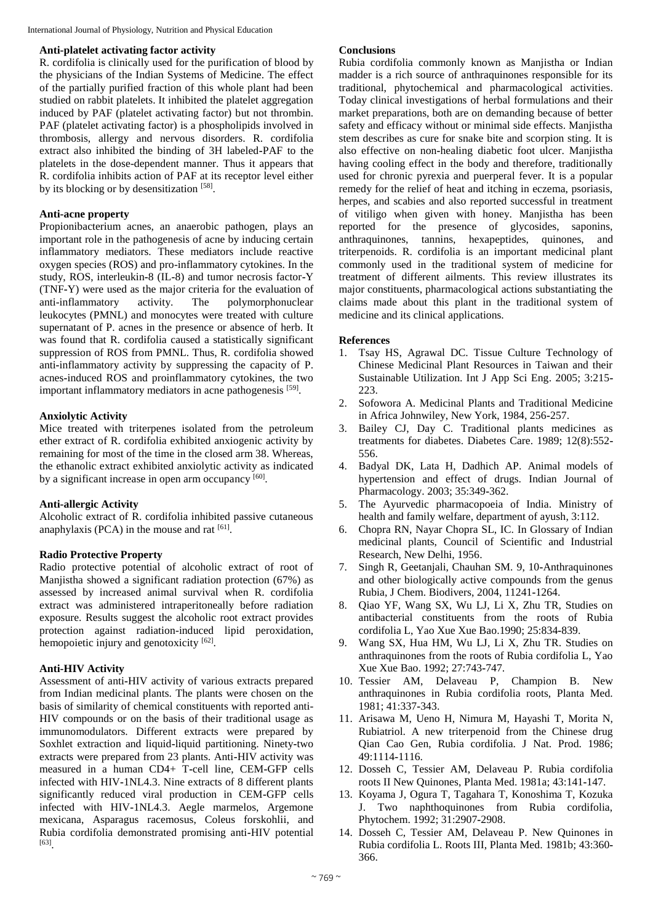#### **Anti-platelet activating factor activity**

R. cordifolia is clinically used for the purification of blood by the physicians of the Indian Systems of Medicine. The effect of the partially purified fraction of this whole plant had been studied on rabbit platelets. It inhibited the platelet aggregation induced by PAF (platelet activating factor) but not thrombin. PAF (platelet activating factor) is a phospholipids involved in thrombosis, allergy and nervous disorders. R. cordifolia extract also inhibited the binding of 3H labeled**-**PAF to the platelets in the dose-dependent manner. Thus it appears that R. cordifolia inhibits action of PAF at its receptor level either by its blocking or by desensitization [58].

# **Anti-acne property**

Propionibacterium acnes, an anaerobic pathogen, plays an important role in the pathogenesis of acne by inducing certain inflammatory mediators. These mediators include reactive oxygen species (ROS) and pro-inflammatory cytokines. In the study, ROS, interleukin**-**8 (IL**-**8) and tumor necrosis factor**-**Y (TNF**-**Y) were used as the major criteria for the evaluation of anti-inflammatory activity. The polymorphonuclear leukocytes (PMNL) and monocytes were treated with culture supernatant of P. acnes in the presence or absence of herb. It was found that R. cordifolia caused a statistically significant suppression of ROS from PMNL. Thus, R. cordifolia showed anti**-**inflammatory activity by suppressing the capacity of P. acnes**-**induced ROS and proinflammatory cytokines, the two important inflammatory mediators in acne pathogenesis [59].

# **Anxiolytic Activity**

Mice treated with triterpenes isolated from the petroleum ether extract of R. cordifolia exhibited anxiogenic activity by remaining for most of the time in the closed arm 38. Whereas, the ethanolic extract exhibited anxiolytic activity as indicated by a significant increase in open arm occupancy [60].

# **Anti-allergic Activity**

Alcoholic extract of R. cordifolia inhibited passive cutaneous anaphylaxis (PCA) in the mouse and rat  $[61]$ .

# **Radio Protective Property**

Radio protective potential of alcoholic extract of root of Manjistha showed a significant radiation protection (67%) as assessed by increased animal survival when R. cordifolia extract was administered intraperitoneally before radiation exposure. Results suggest the alcoholic root extract provides protection against radiation-induced lipid peroxidation, hemopoietic injury and genotoxicity  $[62]$ .

#### **Anti-HIV Activity**

Assessment of anti**-**HIV activity of various extracts prepared from Indian medicinal plants. The plants were chosen on the basis of similarity of chemical constituents with reported anti-HIV compounds or on the basis of their traditional usage as immunomodulators. Different extracts were prepared by Soxhlet extraction and liquid**-**liquid partitioning. Ninety**-**two extracts were prepared from 23 plants. Anti**-**HIV activity was measured in a human CD4+ T**-**cell line, CEM**-**GFP cells infected with HIV**-**1NL4.3. Nine extracts of 8 different plants significantly reduced viral production in CEM**-**GFP cells infected with HIV**-**1NL4.3. Aegle marmelos, Argemone mexicana, Asparagus racemosus, Coleus forskohlii, and Rubia cordifolia demonstrated promising anti**-**HIV potential [63] .

## **Conclusions**

Rubia cordifolia commonly known as Manjistha or Indian madder is a rich source of anthraquinones responsible for its traditional, phytochemical and pharmacological activities. Today clinical investigations of herbal formulations and their market preparations, both are on demanding because of better safety and efficacy without or minimal side effects. Manjistha stem describes as cure for snake bite and scorpion sting. It is also effective on non**-**healing diabetic foot ulcer. Manjistha having cooling effect in the body and therefore, traditionally used for chronic pyrexia and puerperal fever. It is a popular remedy for the relief of heat and itching in eczema, psoriasis, herpes, and scabies and also reported successful in treatment of vitiligo when given with honey. Manjistha has been reported for the presence of glycosides, saponins, anthraquinones, tannins, hexapeptides, quinones, and triterpenoids. R. cordifolia is an important medicinal plant commonly used in the traditional system of medicine for treatment of different ailments. This review illustrates its major constituents, pharmacological actions substantiating the claims made about this plant in the traditional system of medicine and its clinical applications.

#### **References**

- 1. Tsay HS, Agrawal DC. Tissue Culture Technology of Chinese Medicinal Plant Resources in Taiwan and their Sustainable Utilization. Int J App Sci Eng. 2005; 3:215**-** 223.
- 2. Sofowora A. Medicinal Plants and Traditional Medicine in Africa Johnwiley, New York, 1984, 256**-**257.
- 3. Bailey CJ, Day C. Traditional plants medicines as treatments for diabetes. Diabetes Care. 1989; 12(8):552**-** 556.
- 4. Badyal DK, Lata H, Dadhich AP. Animal models of hypertension and effect of drugs. Indian Journal of Pharmacology. 2003; 35:349**-**362.
- 5. The Ayurvedic pharmacopoeia of India. Ministry of health and family welfare, department of ayush, 3:112.
- 6. Chopra RN, Nayar Chopra SL, IC. In Glossary of Indian medicinal plants, Council of Scientific and Industrial Research, New Delhi, 1956.
- 7. Singh R, Geetanjali, Chauhan SM. 9, 10**-**Anthraquinones and other biologically active compounds from the genus Rubia, J Chem. Biodivers, 2004, 11241**-**1264.
- 8. Qiao YF, Wang SX, Wu LJ, Li X, Zhu TR, Studies on antibacterial constituents from the roots of Rubia cordifolia L, Yao Xue Xue Bao.1990; 25:834**-**839.
- 9. Wang SX, Hua HM, Wu LJ, Li X, Zhu TR. Studies on anthraquinones from the roots of Rubia cordifolia L, Yao Xue Xue Bao. 1992; 27:743**-**747.
- 10. Tessier AM, Delaveau P, Champion B. New anthraquinones in Rubia cordifolia roots, Planta Med. 1981; 41:337**-**343.
- 11. Arisawa M, Ueno H, Nimura M, Hayashi T, Morita N, Rubiatriol. A new triterpenoid from the Chinese drug Qian Cao Gen, Rubia cordifolia. J Nat. Prod. 1986; 49:1114**-**1116.
- 12. Dosseh C, Tessier AM, Delaveau P. Rubia cordifolia roots II New Quinones, Planta Med. 1981a; 43:141**-**147.
- 13. Koyama J, Ogura T, Tagahara T, Konoshima T, Kozuka J. Two naphthoquinones from Rubia cordifolia, Phytochem. 1992; 31:2907**-**2908.
- 14. Dosseh C, Tessier AM, Delaveau P. New Quinones in Rubia cordifolia L. Roots III, Planta Med. 1981b; 43:360**-** 366.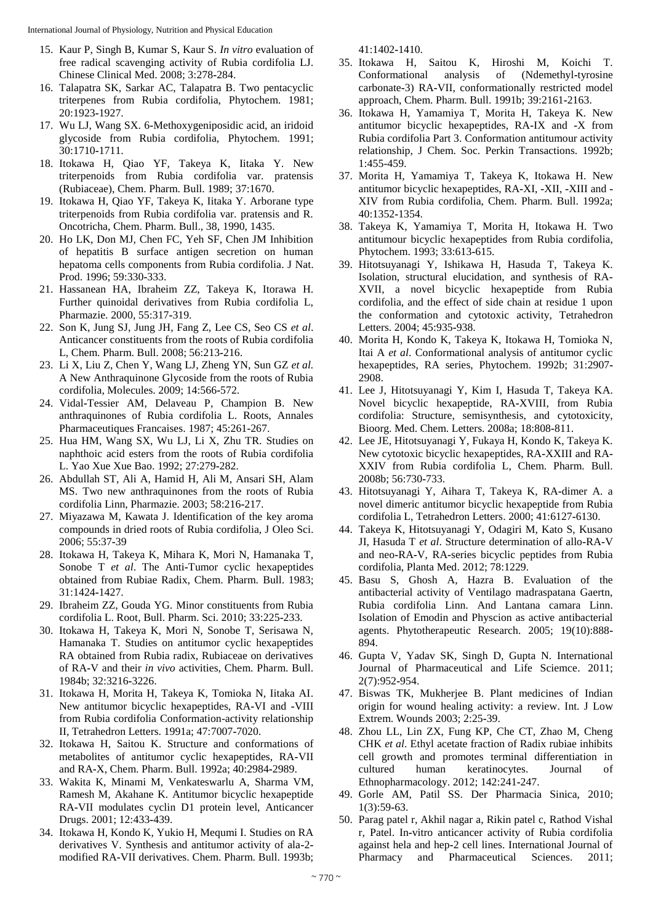- 15. Kaur P, Singh B, Kumar S, Kaur S. *In vitro* evaluation of free radical scavenging activity of Rubia cordifolia LJ. Chinese Clinical Med. 2008; 3:278**-**284.
- 16. Talapatra SK, Sarkar AC, Talapatra B. Two pentacyclic triterpenes from Rubia cordifolia, Phytochem. 1981; 20:1923**-**1927.
- 17. Wu LJ, Wang SX. 6**-**Methoxygeniposidic acid, an iridoid glycoside from Rubia cordifolia, Phytochem. 1991; 30:1710**-**1711.
- 18. Itokawa H, Qiao YF, Takeya K, Iitaka Y. New triterpenoids from Rubia cordifolia var. pratensis (Rubiaceae), Chem. Pharm. Bull. 1989; 37:1670.
- 19. Itokawa H, Qiao YF, Takeya K, Iitaka Y. Arborane type triterpenoids from Rubia cordifolia var. pratensis and R. Oncotricha, Chem. Pharm. Bull., 38, 1990, 1435.
- 20. Ho LK, Don MJ, Chen FC, Yeh SF, Chen JM Inhibition of hepatitis B surface antigen secretion on human hepatoma cells components from Rubia cordifolia. J Nat. Prod. 1996; 59:330**-**333.
- 21. Hassanean HA, Ibraheim ZZ, Takeya K, Itorawa H. Further quinoidal derivatives from Rubia cordifolia L, Pharmazie. 2000, 55:317**-**319.
- 22. Son K, Jung SJ, Jung JH, Fang Z, Lee CS, Seo CS *et al*. Anticancer constituents from the roots of Rubia cordifolia L, Chem. Pharm. Bull. 2008; 56:213**-**216.
- 23. Li X, Liu Z, Chen Y, Wang LJ, Zheng YN, Sun GZ *et al.* A New Anthraquinone Glycoside from the roots of Rubia cordifolia, Molecules. 2009; 14:566**-**572.
- 24. Vidal**-**Tessier AM, Delaveau P, Champion B. New anthraquinones of Rubia cordifolia L. Roots, Annales Pharmaceutiques Francaises. 1987; 45:261**-**267.
- 25. Hua HM, Wang SX, Wu LJ, Li X, Zhu TR. Studies on naphthoic acid esters from the roots of Rubia cordifolia L. Yao Xue Xue Bao. 1992; 27:279**-**282.
- 26. Abdullah ST, Ali A, Hamid H, Ali M, Ansari SH, Alam MS. Two new anthraquinones from the roots of Rubia cordifolia Linn, Pharmazie. 2003; 58:216**-**217.
- 27. Miyazawa M, Kawata J. Identification of the key aroma compounds in dried roots of Rubia cordifolia, J Oleo Sci. 2006; 55:37**-**39
- 28. Itokawa H, Takeya K, Mihara K, Mori N, Hamanaka T, Sonobe T *et al*. The Anti**-**Tumor cyclic hexapeptides obtained from Rubiae Radix, Chem. Pharm. Bull. 1983; 31:1424**-**1427.
- 29. Ibraheim ZZ, Gouda YG. Minor constituents from Rubia cordifolia L. Root, Bull. Pharm. Sci. 2010; 33:225**-**233.
- 30. Itokawa H, Takeya K, Mori N, Sonobe T, Serisawa N, Hamanaka T. Studies on antitumor cyclic hexapeptides RA obtained from Rubia radix, Rubiaceae on derivatives of RA**-**V and their *in vivo* activities, Chem. Pharm. Bull. 1984b; 32:3216**-**3226.
- 31. Itokawa H, Morita H, Takeya K, Tomioka N, Iitaka AI. New antitumor bicyclic hexapeptides, RA**-**VI and **-**VIII from Rubia cordifolia Conformation-activity relationship II, Tetrahedron Letters. 1991a; 47:7007**-**7020.
- 32. Itokawa H, Saitou K. Structure and conformations of metabolites of antitumor cyclic hexapeptides, RA**-**VII and RA**-**X, Chem. Pharm. Bull. 1992a; 40:2984**-**2989.
- 33. Wakita K, Minami M, Venkateswarlu A, Sharma VM, Ramesh M, Akahane K. Antitumor bicyclic hexapeptide RA**-**VII modulates cyclin D1 protein level, Anticancer Drugs. 2001; 12:433**-**439.
- 34. Itokawa H, Kondo K, Yukio H, Mequmi I. Studies on RA derivatives V. Synthesis and antitumor activity of ala**-**2 modified RA**-**VII derivatives. Chem. Pharm. Bull. 1993b;

41:1402**-**1410.

- 35. Itokawa H, Saitou K, Hiroshi M, Koichi T. Conformational analysis of (Ndemethyl**-**tyrosine carbonate**-**3) RA**-**VII, conformationally restricted model approach, Chem. Pharm. Bull. 1991b; 39:2161**-**2163.
- 36. Itokawa H, Yamamiya T, Morita H, Takeya K. New antitumor bicyclic hexapeptides, RA**-**IX and **-**X from Rubia cordifolia Part 3. Conformation antitumour activity relationship, J Chem. Soc. Perkin Transactions. 1992b; 1:455-459.
- 37. Morita H, Yamamiya T, Takeya K, Itokawa H. New antitumor bicyclic hexapeptides, RA**-**XI, **-**XII, **-**XIII and **-** XIV from Rubia cordifolia, Chem. Pharm. Bull. 1992a; 40:1352**-**1354.
- 38. Takeya K, Yamamiya T, Morita H, Itokawa H. Two antitumour bicyclic hexapeptides from Rubia cordifolia, Phytochem. 1993; 33:613**-**615.
- 39. Hitotsuyanagi Y, Ishikawa H, Hasuda T, Takeya K. Isolation, structural elucidation, and synthesis of RA**-**XVII, a novel bicyclic hexapeptide from Rubia cordifolia, and the effect of side chain at residue 1 upon the conformation and cytotoxic activity, Tetrahedron Letters. 2004; 45:935**-**938.
- 40. Morita H, Kondo K, Takeya K, Itokawa H, Tomioka N, Itai A *et al*. Conformational analysis of antitumor cyclic hexapeptides, RA series, Phytochem. 1992b; 31:2907**-** 2908.
- 41. Lee J, Hitotsuyanagi Y, Kim I, Hasuda T, Takeya KA. Novel bicyclic hexapeptide, RA**-**XVIII, from Rubia cordifolia: Structure, semisynthesis, and cytotoxicity, Bioorg. Med. Chem. Letters. 2008a; 18:808**-**811.
- 42. Lee JE, Hitotsuyanagi Y, Fukaya H, Kondo K, Takeya K. New cytotoxic bicyclic hexapeptides, RA**-**XXIII and RA**-**XXIV from Rubia cordifolia L, Chem. Pharm. Bull. 2008b; 56:730**-**733.
- 43. Hitotsuyanagi Y, Aihara T, Takeya K, RA**-**dimer A. a novel dimeric antitumor bicyclic hexapeptide from Rubia cordifolia L, Tetrahedron Letters. 2000; 41:6127**-**6130.
- 44. Takeya K, Hitotsuyanagi Y, Odagiri M, Kato S, Kusano JI, Hasuda T *et al*. Structure determination of allo**-**RA**-**V and neo**-**RA**-**V, RA**-**series bicyclic peptides from Rubia cordifolia, Planta Med. 2012; 78:1229.
- 45. Basu S, Ghosh A, Hazra B. Evaluation of the antibacterial activity of Ventilago madraspatana Gaertn, Rubia cordifolia Linn. And Lantana camara Linn. Isolation of Emodin and Physcion as active antibacterial agents. Phytotherapeutic Research. 2005; 19(10):888**-** 894.
- 46. Gupta V, Yadav SK, Singh D, Gupta N. International Journal of Pharmaceutical and Life Sciemce. 2011; 2(7):952**-**954.
- 47. Biswas TK, Mukherjee B. Plant medicines of Indian origin for wound healing activity: a review. Int. J Low Extrem. Wounds 2003; 2:25**-**39.
- 48. Zhou LL, Lin ZX, Fung KP, Che CT, Zhao M, Cheng CHK *et al*. Ethyl acetate fraction of Radix rubiae inhibits cell growth and promotes terminal differentiation in cultured human keratinocytes. Journal of Ethnopharmacology. 2012; 142:241**-**247.
- 49. Gorle AM, Patil SS. Der Pharmacia Sinica, 2010; 1(3):59**-**63.
- 50. Parag patel r, Akhil nagar a, Rikin patel c, Rathod Vishal r, Patel. In**-**vitro anticancer activity of Rubia cordifolia against hela and hep**-**2 cell lines. International Journal of Pharmacy and Pharmaceutical Sciences. 2011;